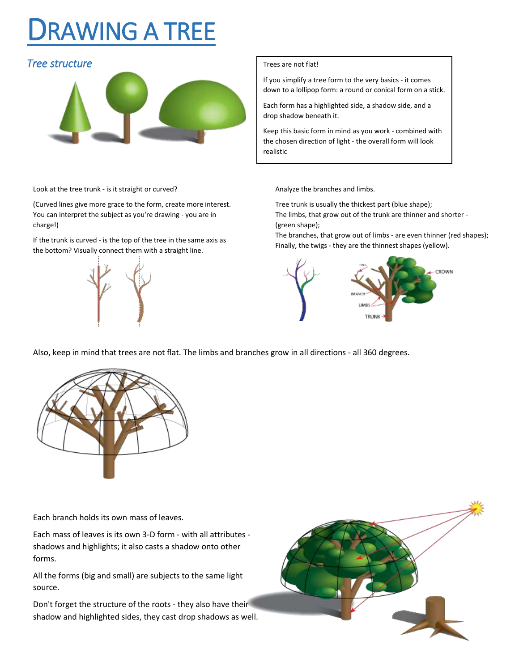## DRAWING A TREE

## **Tree structure Trees** are not flat!



Look at the tree trunk - is it straight or curved?

(Curved lines give more grace to the form, create more interest. You can interpret the subject as you're drawing - you are in charge!)

If the trunk is curved - is the top of the tree in the same axis as the bottom? Visually connect them with a straight line.



If you simplify a tree form to the very basics - it comes down to a lollipop form: a round or conical form on a stick.

Each form has a highlighted side, a shadow side, and a drop shadow beneath it.

Keep this basic form in mind as you work - combined with the chosen direction of light - the overall form will look realistic

Analyze the branches and limbs.

Tree trunk is usually the thickest part (blue shape); The limbs, that grow out of the trunk are thinner and shorter - (green shape);

The branches, that grow out of limbs - are even thinner (red shapes); Finally, the twigs - they are the thinnest shapes (yellow).



Also, keep in mind that trees are not flat. The limbs and branches grow in all directions - all 360 degrees.



Each branch holds its own mass of leaves.

Each mass of leaves is its own 3-D form - with all attributes shadows and highlights; it also casts a shadow onto other forms.

All the forms (big and small) are subjects to the same light source.

Don't forget the structure of the roots - they also have their shadow and highlighted sides, they cast drop shadows as well.